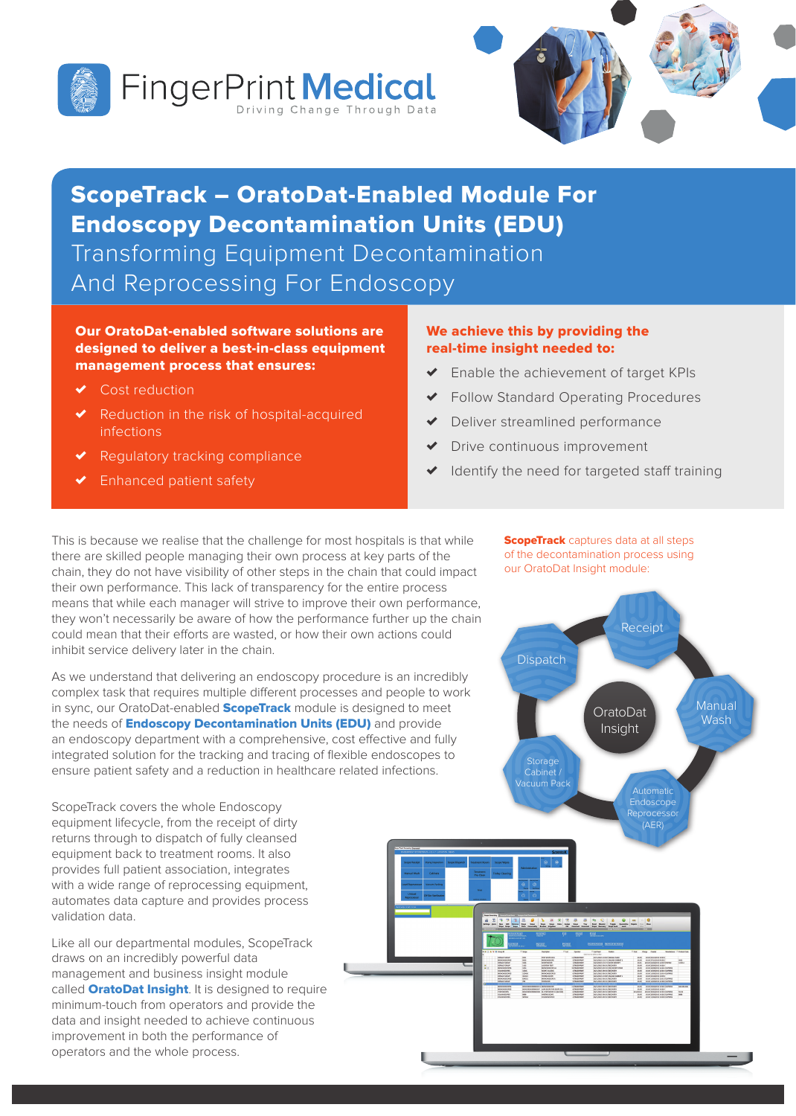



# ScopeTrack – OratoDat-Enabled Module For Endoscopy Decontamination Units (EDU)

Transforming Equipment Decontamination And Reprocessing For Endoscopy

### Our OratoDat-enabled software solutions are designed to deliver a best-in-class equipment management process that ensures:

- Cost reduction
- Reduction in the risk of hospital-acquired infections
- Regulatory tracking compliance
- Enhanced patient safety

### We achieve this by providing the real-time insight needed to:

- ✗ Enable the achievement of target KPIs
- ✗ Follow Standard Operating Procedures
- Deliver streamlined performance
- Drive continuous improvement
- ✗ Identify the need for targeted staff training

This is because we realise that the challenge for most hospitals is that while there are skilled people managing their own process at key parts of the chain, they do not have visibility of other steps in the chain that could impact their own performance. This lack of transparency for the entire process means that while each manager will strive to improve their own performance, they won't necessarily be aware of how the performance further up the chain could mean that their efforts are wasted, or how their own actions could inhibit service delivery later in the chain.

As we understand that delivering an endoscopy procedure is an incredibly complex task that requires multiple different processes and people to work in sync, our OratoDat-enabled **ScopeTrack** module is designed to meet the needs of **Endoscopy Decontamination Units (EDU)** and provide an endoscopy department with a comprehensive, cost effective and fully integrated solution for the tracking and tracing of flexible endoscopes to ensure patient safety and a reduction in healthcare related infections.

ScopeTrack covers the whole Endoscopy equipment lifecycle, from the receipt of dirty returns through to dispatch of fully cleansed equipment back to treatment rooms. It also provides full patient association, integrates with a wide range of reprocessing equipment, automates data capture and provides process validation data.

Like all our departmental modules, ScopeTrack draws on an incredibly powerful data management and business insight module called **OratoDat Insight**. It is designed to require minimum-touch from operators and provide the data and insight needed to achieve continuous improvement in both the performance of operators and the whole process.

**ScopeTrack** captures data at all steps of the decontamination process using our OratoDat Insight module: